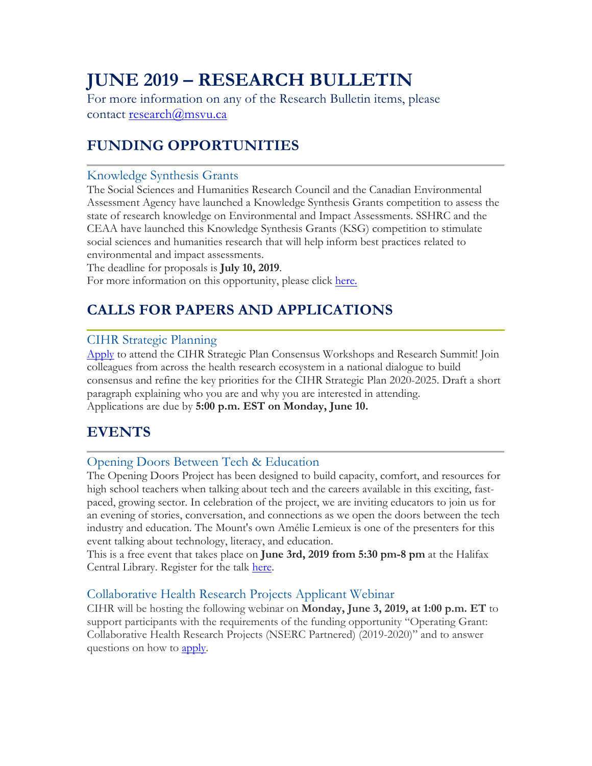# **JUNE 2019 – RESEARCH BULLETIN**

For more information on any of the Research Bulletin items, please contact research@msvu.ca

# **FUNDING OPPORTUNITIES**

### Knowledge Synthesis Grants

The Social Sciences and Humanities Research Council and the Canadian Environmental Assessment Agency have launched a Knowledge Synthesis Grants competition to assess the state of research knowledge on Environmental and Impact Assessments. SSHRC and the CEAA have launched this Knowledge Synthesis Grants (KSG) competition to stimulate social sciences and humanities research that will help inform best practices related to environmental and impact assessments.

The deadline for proposals is **July 10, 2019**.

For more information on this opportunity, please click here.

## **CALLS FOR PAPERS AND APPLICATIONS**

### CIHR Strategic Planning

Apply to attend the CIHR Strategic Plan Consensus Workshops and Research Summit! Join colleagues from across the health research ecosystem in a national dialogue to build consensus and refine the key priorities for the CIHR Strategic Plan 2020-2025. Draft a short paragraph explaining who you are and why you are interested in attending. Applications are due by **5:00 p.m. EST on Monday, June 10.**

### **EVENTS**

### Opening Doors Between Tech & Education

The Opening Doors Project has been designed to build capacity, comfort, and resources for high school teachers when talking about tech and the careers available in this exciting, fastpaced, growing sector. In celebration of the project, we are inviting educators to join us for an evening of stories, conversation, and connections as we open the doors between the tech industry and education. The Mount's own Amélie Lemieux is one of the presenters for this event talking about technology, literacy, and education.

This is a free event that takes place on **June 3rd, 2019 from 5:30 pm-8 pm** at the Halifax Central Library. Register for the talk here.

### Collaborative Health Research Projects Applicant Webinar

CIHR will be hosting the following webinar on **Monday, June 3, 2019, at 1:00 p.m. ET** to support participants with the requirements of the funding opportunity "Operating Grant: Collaborative Health Research Projects (NSERC Partnered) (2019-2020)" and to answer questions on how to apply.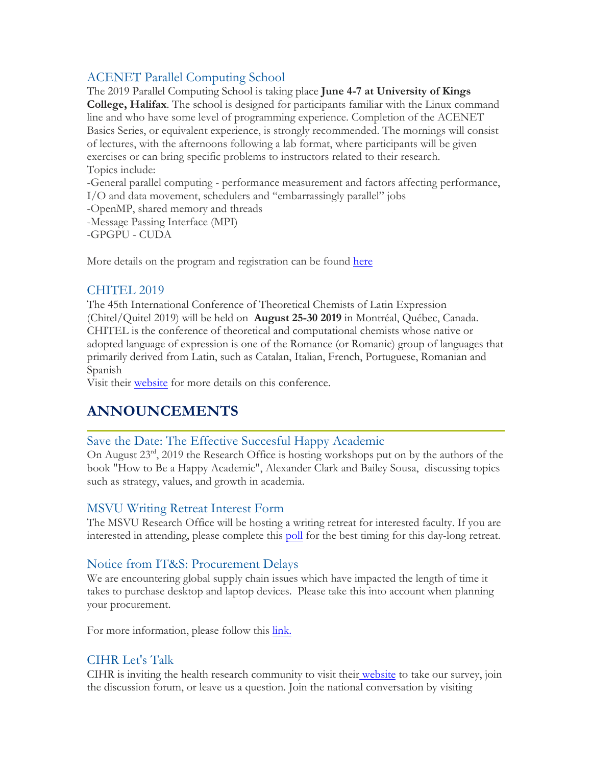### ACENET Parallel Computing School

The 2019 Parallel Computing School is taking place **June 4-7 at University of Kings College, Halifax**. The school is designed for participants familiar with the Linux command line and who have some level of programming experience. Completion of the ACENET Basics Series, or equivalent experience, is strongly recommended. The mornings will consist of lectures, with the afternoons following a lab format, where participants will be given exercises or can bring specific problems to instructors related to their research. Topics include:

-General parallel computing - performance measurement and factors affecting performance, I/O and data movement, schedulers and "embarrassingly parallel" jobs

-OpenMP, shared memory and threads

-Message Passing Interface (MPI)

-GPGPU - CUDA

More details on the program and registration can be found here

#### CHITEL 2019

The 45th International Conference of Theoretical Chemists of Latin Expression (Chitel/Quitel 2019) will be held on **August 25-30 2019** in Montréal, Québec, Canada. CHITEL is the conference of theoretical and computational chemists whose native or adopted language of expression is one of the Romance (or Romanic) group of languages that primarily derived from Latin, such as Catalan, Italian, French, Portuguese, Romanian and Spanish

Visit their website for more details on this conference.

# **ANNOUNCEMENTS**

### Save the Date: The Effective Succesful Happy Academic

On August 23rd, 2019 the Research Office is hosting workshops put on by the authors of the book "How to Be a Happy Academic", Alexander Clark and Bailey Sousa, discussing topics such as strategy, values, and growth in academia.

#### MSVU Writing Retreat Interest Form

The MSVU Research Office will be hosting a writing retreat for interested faculty. If you are interested in attending, please complete this poll for the best timing for this day-long retreat.

### Notice from IT&S: Procurement Delays

We are encountering global supply chain issues which have impacted the length of time it takes to purchase desktop and laptop devices. Please take this into account when planning your procurement.

For more information, please follow this link.

### CIHR Let's Talk

CIHR is inviting the health research community to visit their website to take our survey, join the discussion forum, or leave us a question. Join the national conversation by visiting